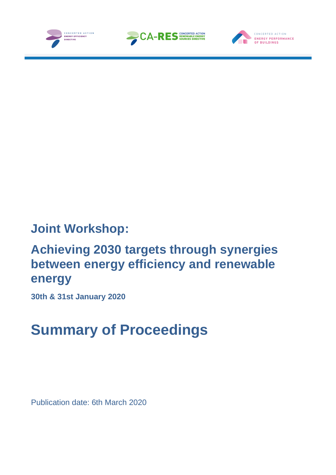





# **Joint Workshop:**

# **Achieving 2030 targets through synergies between energy efficiency and renewable energy**

**30th & 31st January 2020**

# **Summary of Proceedings**

Publication date: 6th March 2020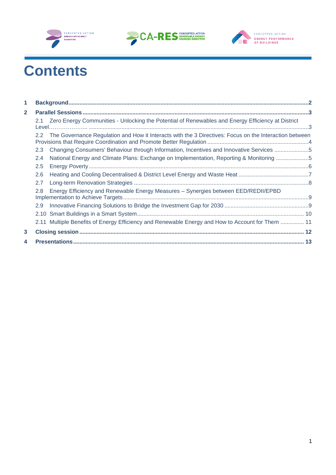





# **Contents**

| 1              |                                                                                                                         |  |
|----------------|-------------------------------------------------------------------------------------------------------------------------|--|
| $\overline{2}$ |                                                                                                                         |  |
|                | Zero Energy Communities - Unlocking the Potential of Renewables and Energy Efficiency at District<br>2.1                |  |
|                | The Governance Regulation and How it Interacts with the 3 Directives: Focus on the Interaction between<br>$2.2^{\circ}$ |  |
|                | Changing Consumers' Behaviour through Information, Incentives and Innovative Services 5<br>2.3                          |  |
|                | National Energy and Climate Plans: Exchange on Implementation, Reporting & Monitoring 5<br>$2.4^{\circ}$                |  |
|                | $2.5^{\circ}$                                                                                                           |  |
|                | 2.6                                                                                                                     |  |
|                | 2.7                                                                                                                     |  |
|                | Energy Efficiency and Renewable Energy Measures - Synergies between EED/REDII/EPBD<br>2.8                               |  |
|                | 2.9                                                                                                                     |  |
|                |                                                                                                                         |  |
|                | 2.11 Multiple Benefits of Energy Efficiency and Renewable Energy and How to Account for Them  11                        |  |
| 3              |                                                                                                                         |  |
| 4              |                                                                                                                         |  |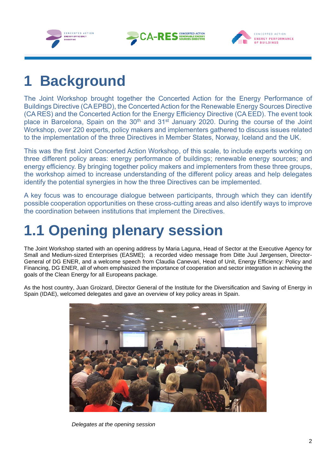





# <span id="page-2-0"></span>**1 Background**

The Joint Workshop brought together the Concerted Action for the Energy Performance of Buildings Directive (CA EPBD), the Concerted Action for the Renewable Energy Sources Directive (CA RES) and the Concerted Action for the Energy Efficiency Directive (CA EED). The event took place in Barcelona, Spain on the 30<sup>th</sup> and 31<sup>st</sup> January 2020. During the course of the Joint Workshop, over 220 experts, policy makers and implementers gathered to discuss issues related to the implementation of the three Directives in Member States, Norway, Iceland and the UK.

This was the first Joint Concerted Action Workshop, of this scale, to include experts working on three different policy areas: energy performance of buildings; renewable energy sources; and energy efficiency. By bringing together policy makers and implementers from these three groups, the workshop aimed to increase understanding of the different policy areas and help delegates identify the potential synergies in how the three Directives can be implemented.

A key focus was to encourage dialogue between participants, through which they can identify possible cooperation opportunities on these cross-cutting areas and also identify ways to improve the coordination between institutions that implement the Directives.

# **1.1 Opening plenary session**

The Joint Workshop started with an opening address by Maria Laguna, Head of Sector at the Executive Agency for Small and Medium-sized Enterprises (EASME); a recorded video message from Ditte Juul Jørgensen, Director-General of DG ENER, and a welcome speech from Claudia Canevari, Head of Unit, Energy Efficiency: Policy and Financing, DG ENER, all of whom emphasized the importance of cooperation and sector integration in achieving the goals of the Clean Energy for all Europeans package.

As the host country, Juan Groizard, Director General of the Institute for the Diversification and Saving of Energy in Spain (IDAE), welcomed delegates and gave an overview of key policy areas in Spain.



*Delegates at the opening session*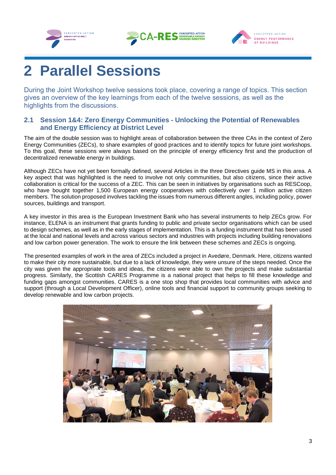





# <span id="page-3-0"></span>**2 Parallel Sessions**

During the Joint Workshop twelve sessions took place, covering a range of topics. This section gives an overview of the key learnings from each of the twelve sessions, as well as the highlights from the discussions.

### <span id="page-3-1"></span>**2.1 Session 1&4: Zero Energy Communities - Unlocking the Potential of Renewables and Energy Efficiency at District Level**

The aim of the double session was to highlight areas of collaboration between the three CAs in the context of Zero Energy Communities (ZECs), to share examples of good practices and to identify topics for future joint workshops. To this goal, these sessions were always based on the principle of energy efficiency first and the production of decentralized renewable energy in buildings.

Although ZECs have not yet been formally defined, several Articles in the three Directives guide MS in this area. A key aspect that was highlighted is the need to involve not only communities, but also citizens, since their active collaboration is critical for the success of a ZEC. This can be seen in initiatives by organisations such as RESCoop, who have bought together 1,500 European energy cooperatives with collectively over 1 million active citizen members. The solution proposed involves tackling the issues from numerous different angles, including policy, power sources, buildings and transport.

A key investor in this area is the European Investment Bank who has several instruments to help ZECs grow. For instance, ELENA is an instrument that grants funding to public and private sector organisations which can be used to design schemes, as well as in the early stages of implementation. This is a funding instrument that has been used at the local and national levels and across various sectors and industries with projects including building renovations and low carbon power generation. The work to ensure the link between these schemes and ZECs is ongoing.

The presented examples of work in the area of ZECs included a project in Avedøre, Denmark. Here, citizens wanted to make their city more sustainable, but due to a lack of knowledge, they were unsure of the steps needed. Once the city was given the appropriate tools and ideas, the citizens were able to own the projects and make substantial progress. Similarly, the Scottish CARES Programme is a national project that helps to fill these knowledge and funding gaps amongst communities. CARES is a one stop shop that provides local communities with advice and support (through a Local Development Officer), online tools and financial support to community groups seeking to develop renewable and low carbon projects.

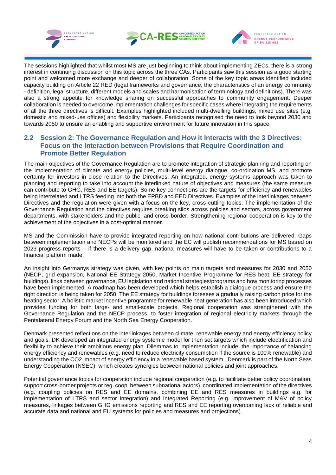





The sessions highlighted that whilst most MS are just beginning to think about implementing ZECs, there is a strong interest in continuing discussion on this topic across the three CAs. Participants saw this session as a good starting point and welcomed more exchange and deeper of collaboration. Some of the key topic areas identified included capacity building on Article 22 RED (legal frameworks and governance, the characteristics of an energy community - definition, legal structure, different models and scales and harmonisation of terminology and definitions). There was also a strong appetite for knowledge sharing on successful approaches to community engagement. Deeper collaboration is needed to overcome implementation challenges for specific cases where integrating the requirements of all the three directives is difficult. Examples highlighted included multi-dwelling buildings, mixed use sites (e.g. domestic and mixed-use offices) and flexibility markets. Participants recognised the need to look beyond 2030 and towards 2050 to ensure an enabling and supportive environment for future innovation in this space.

### <span id="page-4-0"></span>**2.2 Session 2: The Governance Regulation and How it Interacts with the 3 Directives: Focus on the Interaction between Provisions that Require Coordination and Promote Better Regulation**

The main objectives of the Governance Regulation are to promote integration of strategic planning and reporting on the implementation of climate and energy policies, multi-level energy dialogue, co-ordination MS, and promote certainty for investors in close relation to the Directives. An integrated, energy systems approach was taken to planning and reporting to take into account the interlinked nature of objectives and measures (the same measure can contribute to GHG, RES and EE targets). Some key connections are the targets for efficiency and renewables being interrelated and LTRS feeding into both the EPBD and EED Directives. Examples of the interlinkages between Directives and the regulation were given with a focus on the key, cross-cutting topics. The implementation of the Governance Regulation and the directives requires breaking silos across policies and sectors, across government departments, with stakeholders and the public, and cross-border. Strengthening regional cooperation is key to the achievement of the objectives in a cost-optimal manner.

MS and the Commission have to provide integrated reporting on how national contributions are delivered. Gaps between implementation and NECPs will be monitored and the EC will publish recommendations for MS based on 2023 progress reports – if there is a delivery gap, national measures will have to be taken or contributions to a financial platform made.

An insight into Germanys strategy was given, with key points on main targets and measures for 2030 and 2050 (NECP, grid expansion, National EE Strategy 2050, Market Incentive Programme for RES heat, EE strategy for buildings), links between governance, EU legislation and national strategies/programs and how monitoring processes have been implemented. A roadmap has been developed which helps establish a dialogue process and ensure the right direction is being taken for 2050. The EE strategy for buildings foresees a gradually raising carbon price for the heating sector. A holistic market incentive programme for renewable heat generation has also been introduced which provides funding for both large- and small-scale projects. Regional cooperation was strengthened with the Governance Regulation and the NECP process, to foster integration of regional electricity markets through the Pentalateral Energy Forum and the North Sea Energy Cooperation.

Denmark presented reflections on the interlinkages between climate, renewable energy and energy efficiency policy and goals. DK developed an integrated energy system e model for then set targets which include electrification and flexibility to achieve their ambitious energy plan. Dilemmas to implementation include: the importance of balancing energy efficiency and renewables (e.g. need to reduce electricity consumption if the source is 100% renewable) and understanding the CO2 impact of energy efficiency in a renewable based system. Denmark is part of the North Seas Energy Cooperation (NSEC), which creates synergies between national policies and joint approaches.

Potential governance topics for cooperation include regional cooperation (e.g. to facilitate better policy coordination, support cross-border projects or reg. coop. between subnational actors), coordinated implementation of the directives (e.g. coupling policies on RES and EE domains, combining EE and RES measures in buildings e.g. for implementation of LTRS and sector Integration) and Integrated Reporting (e.g. improvement of M&V of policy measures, linkages between GHG emissions reporting and RES and EE reporting overcoming lack of reliable and accurate data and national and EU systems for policies and measures and projections).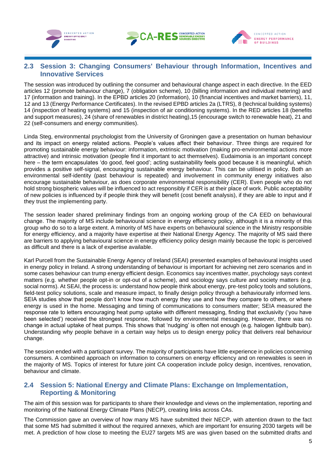





### <span id="page-5-0"></span>**2.3 Session 3: Changing Consumers' Behaviour through Information, Incentives and Innovative Services**

The session was introduced by outlining the consumer and behavioural change aspect in each directive. In the EED articles 12 (promote behaviour change), 7 (obligation scheme), 10 (billing information and individual metering) and 17 (information and training). In the EPBD articles 20 (information), 10 (financial incentives and market barriers), 11, 12 and 13 (Energy Performance Certificates). In the revised EPBD articles 2a (LTRS), 8 (technical building systems) 14 (inspection of heating systems) and 15 (inspection of air conditioning systems). In the RED articles 18 (benefits and support measures), 24 (share of renewables in district heating),15 (encourage switch to renewable heat), 21 and 22 (self-consumers and energy communities).

Linda Steg, environmental psychologist from the University of Groningen gave a presentation on human behaviour and its impact on energy related actions. People's values affect their behaviour. Three things are required for promoting sustainable energy behaviour: information, extrinsic motivation (making pro-environmental actions more attractive) and intrinsic motivation (people find it important to act themselves). Eudaimonia is an important concept here – the term encapsulates 'do good, feel good'; acting sustainability feels good because it is meaningful, which provides a positive self-signal, encouraging sustainable energy behaviour. This can be utilised in policy. Both an environmental self-identity (past behaviour is repeated) and involvement in community energy initiatives also encourage sustainable behaviour, as does corporate environmental responsibility (CER). Even people who do not hold strong biospheric values will be influenced to act responsibly if CER is at their place of work. Public acceptability of new policies is influenced by if people think they will benefit (cost benefit analysis), if they are able to input and if they trust the implementing party.

The session leader shared preliminary findings from an ongoing working group of the CA EED on behavioural change. The majority of MS include behavioural science in energy efficiency policy, although it is a minority of this group who do so to a large extent. A minority of MS have experts on behavioural science in the Ministry responsible for energy efficiency, and a majority have expertise at their National Energy Agency. The majority of MS said there are barriers to applying behavioural science in energy efficiency policy design mainly because the topic is perceived as difficult and there is a lack of expertise available.

Karl Purcell from the Sustainable Energy Agency of Ireland (SEAI) presented examples of behavioural insights used in energy policy in Ireland. A strong understanding of behaviour is important for achieving net zero scenarios and in some cases behaviour can trump energy efficient design. Economics say incentives matter, psychology says context matters (e.g. whether people opt-in or opt-out of a scheme), and sociology says culture and society matters (e.g. social norms). At SEAI, the process is: understand how people think about energy, pre-test policy tools and solutions, field-test policy solutions, scale and measure impact, to finally design policy through a behaviourally informed lens. SEIA studies show that people don't know how much energy they use and how they compare to others, or where energy is used in the home. Messaging and timing of communications to consumers matter; SEIA measured the response rate to letters encouraging heat pump uptake with different messaging, finding that exclusivity ('you have been selected') received the strongest response, followed by environmental messaging. However, there was no change in actual uptake of heat pumps. This shows that 'nudging' is often not enough (e.g. halogen lightbulb ban). Understanding why people behave in a certain way helps us to design energy policy that delivers real behaviour change.

The session ended with a participant survey. The majority of participants have little experience in policies concerning consumers. A combined approach on information to consumers on energy efficiency and on renewables is seen in the majority of MS. Topics of interest for future joint CA cooperation include policy design, incentives, renovation, behaviour and climate.

### <span id="page-5-1"></span>**2.4 Session 5: National Energy and Climate Plans: Exchange on Implementation, Reporting & Monitoring**

The aim of this session was for participants to share their knowledge and views on the implementation, reporting and monitoring of the National Energy Climate Plans (NECP), creating links across CAs.

The Commission gave an overview of how many MS have submitted their NECP, with attention drawn to the fact that some MS had submitted it without the required annexes, which are important for ensuring 2030 targets will be met. A prediction of how close to meeting the EU27 targets MS are was given based on the submitted drafts and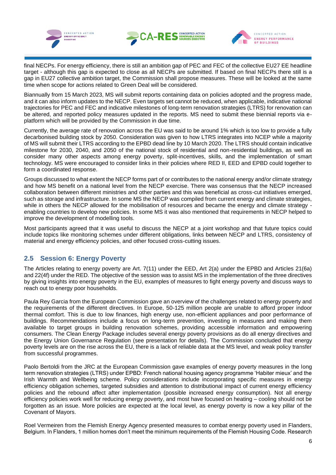





final NECPs. For energy efficiency, there is still an ambition gap of PEC and FEC of the collective EU27 EE headline target - although this gap is expected to close as all NECPs are submitted. If based on final NECPs there still is a gap in EU27 collective ambition target, the Commission shall propose measures. These will be looked at the same time when scope for actions related to Green Deal will be considered.

Biannually from 15 March 2023, MS will submit reports containing data on policies adopted and the progress made, and it can also inform updates to the NECP. Even targets set cannot be reduced, when applicable, indicative national trajectories for PEC and FEC and indicative milestones of long-term renovation strategies (LTRS) for renovation can be altered, and reported policy measures updated in the reports. MS need to submit these biennial reports via eplatform which will be provided by the Commission in due time.

Currently, the average rate of renovation across the EU was said to be around 1% which is too low to provide a fully decarbonised building stock by 2050. Consideration was given to how LTRS integrates into NCEP while a majority of MS will submit their LTRS according to the EPBD dead line by 10 March 2020. The LTRS should contain indicative milestone for 2030, 2040, and 2050 of the national stock of residential and non-residential buildings, as well as consider many other aspects among energy poverty, split-incentives, skills, and the implementation of smart technology. MS were encouraged to consider links in their policies where RED II, EED and EPBD could together to form a coordinated response.

Groups discussed to what extent the NECP forms part of or contributes to the national energy and/or climate strategy and how MS benefit on a national level from the NECP exercise. There was consensus that the NECP increased collaboration between different ministries and other parties and this was beneficial as cross-cut initiatives emerged, such as storage and infrastructure. In some MS the NECP was compiled from current energy and climate strategies, while in others the NECP allowed for the mobilisation of resources and became the energy and climate strategy enabling countries to develop new policies. In some MS it was also mentioned that requirements in NECP helped to improve the development of modelling tools.

Most participants agreed that it was useful to discuss the NECP at a joint workshop and that future topics could include topics like monitoring schemes under different obligations, links between NECP and LTRS, consistency of material and energy efficiency policies, and other focused cross-cutting issues.

### <span id="page-6-0"></span>**2.5 Session 6: Energy Poverty**

The Articles relating to energy poverty are Art. 7(11) under the EED, Art 2(a) under the EPBD and Articles 21(6a) and 22(4f) under the RED. The objective of the session was to assist MS in the implementation of the three directives by giving insights into energy poverty in the EU, examples of measures to fight energy poverty and discuss ways to reach out to energy poor households.

Paula Rey Garcia from the European Commission gave an overview of the challenges related to energy poverty and the requirements of the different directives. In Europe, 50-125 million people are unable to afford proper indoor thermal comfort. This is due to low finances, high energy use, non-efficient appliances and poor performance of buildings. Recommendations include a focus on long-term prevention, investing in measures and making them available to target groups in building renovation schemes, providing accessible information and empowering consumers. The Clean Energy Package includes several energy poverty provisions as do all energy directives and the Energy Union Governance Regulation (see presentation for details). The Commission concluded that energy poverty levels are on the rise across the EU, there is a lack of reliable data at the MS level, and weak policy transfer from successful programmes.

Paolo Bertoldi from the JRC at the European Commission gave examples of energy poverty measures in the long term renovation strategies (LTRS) under EPBD: French national housing agency programme 'Habiter mieux' and the Irish Warmth and Wellbeing scheme. Policy considerations include incorporating specific measures in energy efficiency obligation schemes, targeted subsidies and attention to distributional impact of current energy efficiency policies and the rebound affect after implementation (possible increased energy consumption). Not all energy efficiency policies work well for reducing energy poverty, and most have focused on heating – cooling should not be forgotten as an issue. More policies are expected at the local level, as energy poverty is now a key pillar of the Covenant of Mayors.

Roel Vermeiren from the Flemish Energy Agency presented measures to combat energy poverty used in Flanders, Belgium. In Flanders, 1 million homes don't meet the minimum requirements of the Flemish Housing Code. Research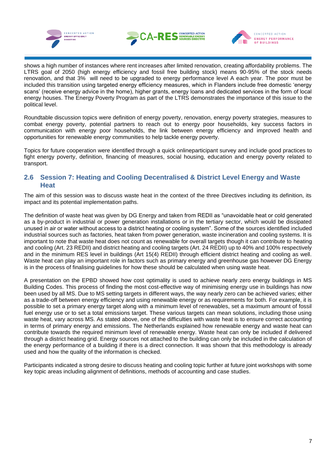





shows a high number of instances where rent increases after limited renovation, creating affordability problems. The LTRS goal of 2050 (high energy efficiency and fossil free building stock) means 90-95% of the stock needs renovation, and that 3% will need to be upgraded to energy performance level A each year. The poor must be included this transition using targeted energy efficiency measures, which in Flanders include free domestic 'energy scans' (receive energy advice in the home), higher grants, energy loans and dedicated services in the form of local energy houses. The Energy Poverty Program as part of the LTRS demonstrates the importance of this issue to the political level.

Roundtable discussion topics were definition of energy poverty, renovation, energy poverty strategies, measures to combat energy poverty, potential partners to reach out to energy poor households, key success factors in communication with energy poor households, the link between energy efficiency and improved health and opportunities for renewable energy communities to help tackle energy poverty.

Topics for future cooperation were identified through a quick onlineparticipant survey and include good practices to fight energy poverty, definition, financing of measures, social housing, education and energy poverty related to transport.

### <span id="page-7-0"></span>**2.6 Session 7: Heating and Cooling Decentralised & District Level Energy and Waste Heat**

The aim of this session was to discuss waste heat in the context of the three Directives including its definition, its impact and its potential implementation paths.

The definition of waste heat was given by DG Energy and taken from REDII as "unavoidable heat or cold generated as a by-product in industrial or power generation installations or in the tertiary sector, which would be dissipated unused in air or water without access to a district heating or cooling system". Some of the sources identified included industrial sources such as factories, heat taken from power generation, waste incineration and cooling systems. It is important to note that waste heat does not count as renewable for overall targets though it can contribute to heating and cooling (Art. 23 REDII) and district heating and cooling targets (Art. 24 REDII) up to 40% and 100% respectively and in the minimum RES level in buildings (Art 15(4) REDII) through efficient district heating and cooling as well. Waste heat can play an important role in factors such as primary energy and greenhouse gas however DG Energy is in the process of finalising guidelines for how these should be calculated when using waste heat.

A presentation on the EPBD showed how cost optimality is used to achieve nearly zero energy buildings in MS Building Codes. This process of finding the most cost-effective way of minimising energy use in buildings has now been used by all MS. Due to MS setting targets in different ways, the way nearly zero can be achieved varies; either as a trade-off between energy efficiency and using renewable energy or as requirements for both. For example, it is possible to set a primary energy target along with a minimum level of renewables, set a maximum amount of fossil fuel energy use or to set a total emissions target. These various targets can mean solutions, including those using waste heat, vary across MS. As stated above, one of the difficulties with waste heat is to ensure correct accounting in terms of primary energy and emissions. The Netherlands explained how renewable energy and waste heat can contribute towards the required minimum level of renewable energy. Waste heat can only be included if delivered through a district heating grid. Energy sources not attached to the building can only be included in the calculation of the energy performance of a building if there is a direct connection. It was shown that this methodology is already used and how the quality of the information is checked.

Participants indicated a strong desire to discuss heating and cooling topic further at future joint workshops with some key topic areas including alignment of definitions, methods of accounting and case studies.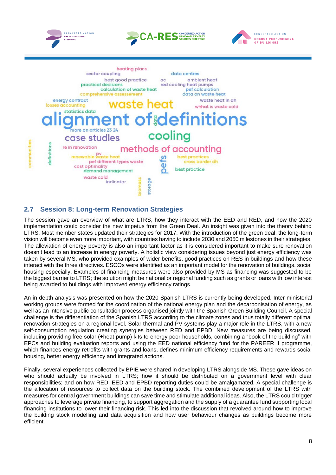







# <span id="page-8-0"></span>**2.7 Session 8: Long-term Renovation Strategies**

The session gave an overview of what are LTRS, how they interact with the EED and RED, and how the 2020 implementation could consider the new impetus from the Green Deal. An insight was given into the theory behind LTRS. Most member states updated their strategies for 2017. With the introduction of the green deal, the long-term vision will become even more important, with countries having to include 2030 and 2050 milestones in their strategies. The alleviation of energy poverty is also an important factor as it is considered important to make sure renovation doesn't lead to an increase in energy poverty. A holistic view considering issues beyond just energy efficiency was taken by several MS, who provided examples of wider benefits, good practices on RES in buildings and how these interact with the three directives. ESCOs were identified as an important model for the renovation of buildings, social housing especially. Examples of financing measures were also provided by MS as financing was suggested to be the biggest barrier to LTRS; the solution might be national or regional funding such as grants or loans with low interest being awarded to buildings with improved energy efficiency ratings.

An in-depth analysis was presented on how the 2020 Spanish LTRS is currently being developed. Inter-ministerial working groups were formed for the coordination of the national energy plan and the decarbonisation of energy, as well as an intensive public consultation process organised jointly with the Spanish Green Building Council. A special challenge is the differentiation of the Spanish LTRS according to the climate zones and thus totally different optimal renovation strategies on a regional level. Solar thermal and PV systems play a major role in the LTRS, with a new self-consumption regulation creating synergies between RED and EPBD. New measures are being discussed, including providing free solar (+heat pump) kits to energy poor households, combining a "book of the building" with EPCs and building evaluation reports and using the EED national efficiency fund for the PAREER II programme, which finances energy retrofits with grants and loans, defines minimum efficiency requirements and rewards social housing, better energy efficiency and integrated actions.

Finally, several experiences collected by BPIE were shared in developing LTRS alongside MS. These gave ideas on who should actually be involved in LTRS; how it should be distributed on a government level with clear responsibilities; and on how RED, EED and EPBD reporting duties could be amalgamated. A special challenge is the allocation of resources to collect data on the building stock. The combined development of the LTRS with measures for central government buildings can save time and stimulate additional ideas. Also, the LTRS could trigger approaches to leverage private financing, to support aggregation and the supply of a guarantee fund supporting local financing institutions to lower their financing risk. This led into the discussion that revolved around how to improve the building stock modelling and data acquisition and how user behaviour changes as buildings become more efficient.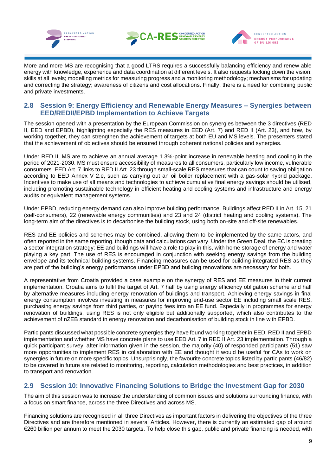





More and more MS are recognising that a good LTRS requires a successfully balancing efficiency and renew able energy with knowledge, experience and data coordination at different levels. It also requests locking down the vision; skills at all levels; modelling metrics for measuring progress and a monitoring methodology; mechanisms for updating and correcting the strategy; awareness of citizens and cost allocations. Finally, there is a need for combining public and private investments.

### <span id="page-9-0"></span>**2.8 Session 9: Energy Efficiency and Renewable Energy Measures – Synergies between EED/REDII/EPBD Implementation to Achieve Targets**

The session opened with a presentation by the European Commission on synergies between the 3 directives (RED II, EED and EPBD), highlighting especially the RES measures in EED (Art. 7) and RED II (Art. 23), and how, by working together, they can strengthen the achievement of targets at both EU and MS levels. The presenters stated that the achievement of objectives should be ensured through coherent national policies and synergies.

Under RED II, MS are to achieve an annual average 1.3%-point increase in renewable heating and cooling in the period of 2021-2030. MS must ensure accessibility of measures to all consumers, particularly low income, vulnerable consumers. EED Art. 7 links to RED II Art. 23 through small-scale RES measures that can count to saving obligation according to EED Annex V 2.e, such as carrying out an oil boiler replacement with a gas-solar hybrid package. Incentives to make use of all means and technologies to achieve cumulative final energy savings should be utilised, including promoting sustainable technology in efficient heating and cooling systems and infrastructure and energy audits or equivalent management systems.

Under EPBD, reducing energy demand can also improve building performance. Buildings affect RED II in Art. 15, 21 (self-consumers), 22 (renewable energy communities) and 23 and 24 (district heating and cooling systems). The long-term aim of the directives is to decarbonise the building stock, using both on-site and off-site renewables.

RES and EE policies and schemes may be combined, allowing them to be implemented by the same actors, and often reported in the same reporting, though data and calculations can vary. Under the Green Deal, the EC is creating a sector integration strategy; EE and buildings will have a role to play in this, with home storage of energy and water playing a key part. The use of RES is encouraged in conjunction with seeking energy savings from the building envelope and its technical building systems. Financing measures can be used for building integrated RES as they are part of the building's energy performance under EPBD and building renovations are necessary for both.

A representative from Croatia provided a case example on the synergy of RES and EE measures in their current implementation. Croatia aims to fulfil the target of Art. 7 half by using energy efficiency obligation scheme and half by alternative measures including energy renovation of buildings and transport. Achieving energy savings in final energy consumption involves investing in measures for improving end-use sector EE including small scale RES, purchasing energy savings from third parties, or paying fees into an EE fund. Especially in programmes for energy renovation of buildings, using RES is not only eligible but additionally supported, which also contributes to the achievement of nZEB standard in energy renovation and decarbonisation of building stock in line with EPBD.

Participants discussed what possible concrete synergies they have found working together in EED, RED II and EPBD implementation and whether MS have concrete plans to use EED Art. 7 in RED II Art. 23 implementation. Through a quick participant survey, after information given in the session, the majority (40) of responded participants (51) saw more opportunities to implement RES in collaboration with EE and thought it would be useful for CAs to work on synergies in future on more specific topics. Unsurprisingly, the favourite concrete topics listed by participants (46/82) to be covered in future are related to monitoring, reporting, calculation methodologies and best practices, in addition to transport and renovation.

### <span id="page-9-1"></span>**2.9 Session 10: Innovative Financing Solutions to Bridge the Investment Gap for 2030**

The aim of this session was to increase the understanding of common issues and solutions surrounding finance, with a focus on smart finance, across the three Directives and across MS.

Financing solutions are recognised in all three Directives as important factors in delivering the objectives of the three Directives and are therefore mentioned in several Articles. However, there is currently an estimated gap of around €260 billion per annum to meet the 2030 targets. To help close this gap, public and private financing is needed, with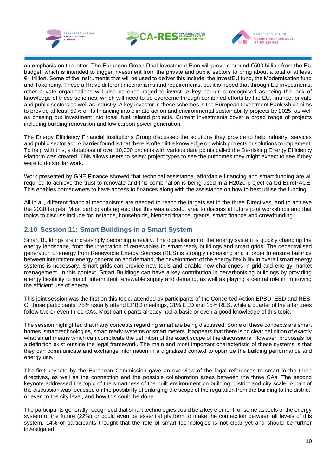





an emphasis on the latter. The European Green Deal Investment Plan will provide around €500 billion from the EU budget, which is intended to trigger investment from the private and public sectors to bring about a total of at least €1 trillion. Some of the instruments that will be used to deliver this include, the InvestEU fund, the Modernisation fund and Taxonomy. These all have different mechanisms and requirements, but it is hoped that through EU investments, other private organisations will also be encouraged to invest. A key barrier is recognised as being the lack of knowledge of these schemes, which will need to be overcome through combined efforts by the EU, finance, private and public sectors as well as industry. A key investor in these schemes is the European Investment Bank which aims to provide at least 50% of its financing into climate action and environmental sustainability projects by 2025, as well as phasing out investment into fossil fuel related projects. Current investments cover a broad range of projects including building renovation and low carbon power generation.

The Energy Efficiency Financial Institutions Group discussed the solutions they provide to help industry, services and public sector act. A barrier found is that there is often little knowledge on which projects or solutions to implement. To help with this, a database of over 10,000 projects with various data points called the De-risking Energy Efficiency Platform was created. This allows users to select project types to see the outcomes they might expect to see if they were to do similar work.

Work presented by GNE Finance showed that technical assistance, affordable financing and smart funding are all required to achieve the trust to renovate and this combination is being used in a H2020 project called EuroPACE. This enables homeowners to have access to finances along with the assistance on how to best utilise the funding.

All in all, different financial mechanisms are needed to reach the targets set in the three Directives, and to achieve the 2030 targets. Most participants agreed that this was a useful area to discuss at future joint workshops and that topics to discuss include for instance, households, blended finance, grants, smart finance and crowdfunding.

### <span id="page-10-0"></span>**2.10 Session 11: Smart Buildings in a Smart System**

Smart Buildings are increasingly becoming a reality. The digitalisation of the energy system is quickly changing the energy landscape, from the integration of renewables to smart-ready buildings and smart grids. The decentralised generation of energy from Renewable Energy Sources (RES) is strongly increasing and in order to ensure balance between intermittent energy generation and demand, the development of the energy flexibility in overall smart energy systems is necessary. Smart grids can provide new tools and enable new challenges in grid and energy market management. In this context, Smart Buildings can have a key contribution in decarbonising buildings by providing energy flexibility to match intermittent renewable supply and demand, as well as playing a central role in improving the efficient use of energy.

This joint session was the first on this topic, attended by participants of the Concerted Action EPBD, EED and RES. Of those participants, 75% usually attend EPBD meetings, 31% EED and 15% RES, while a quarter of the attendees follow two or even three CAs. Most participants already had a basic or even a good knowledge of this topic.

The session highlighted that many concepts regarding smart are being discussed. Some of these concepts are smart homes, smart technologies, smart ready systems or smart meters. It appears that there is no clear definition of exactly what smart means which can complicate the definition of the exact scope of the discussions. However, proposals for a definition exist outside the legal framework. The main and most important characteristic of these systems is that they can communicate and exchange information in a digitalized context to optimize the building performance and energy use.

The first keynote by the European Commission gave an overview of the legal references to smart in the three directives, as well as the connection and the possible collaboration areas between the three CAs. The second keynote addressed the topic of the smartness of the built environment on building, district and city scale. A part of the discussion was focussed on the possibility of enlarging the scope of the regulation from the building to the district, or even to the city level, and how this could be done.

The participants generally recognised that smart technologies could be a key element for some aspects of the energy system of the future (22%) or could even be essential platform to make the connection between all levels of this system. 14% of participants thought that the role of smart technologies is not clear yet and should be further investigated.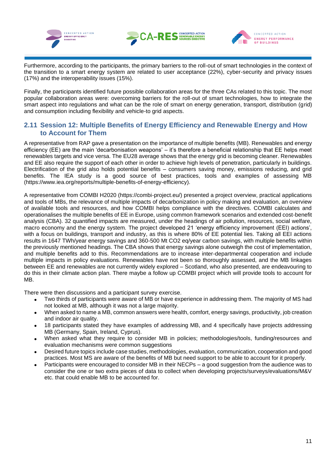





Furthermore, according to the participants, the primary barriers to the roll-out of smart technologies in the context of the transition to a smart energy system are related to user acceptance (22%), cyber-security and privacy issues (17%) and the interoperability issues (15%).

Finally, the participants identified future possible collaboration areas for the three CAs related to this topic. The most popular collaboration areas were: overcoming barriers for the roll-out of smart technologies, how to integrate the smart aspect into regulations and what can be the role of smart on energy generation, transport, distribution (grid) and consumption including flexibility and vehicle-to grid aspects.

### <span id="page-11-0"></span>**2.11 Session 12: Multiple Benefits of Energy Efficiency and Renewable Energy and How to Account for Them**

A representative from RAP gave a presentation on the importance of multiple benefits (MB). Renewables and energy efficiency (EE) are the main 'decarbonisation weapons' – it's therefore a beneficial relationship that EE helps meet renewables targets and vice versa. The EU28 average shows that the energy grid is becoming cleaner. Renewables and EE also require the support of each other in order to achieve high levels of penetration, particularly in buildings. Electrification of the grid also holds potential benefits – consumers saving money, emissions reducing, and grid benefits. The IEA study is a good source of best practices, tools and examples of assessing MB (https://www.iea.org/reports/multiple-benefits-of-energy-efficiency).

A representative from COMBI H2020 (https://combi-project.eu/) presented a project overview, practical applications and tools of MBs, the relevance of multiple impacts of decarbonization in policy making and evaluation, an overview of available tools and resources, and how COMBI helps compliance with the directives. COMBI calculates and operationalises the multiple benefits of EE in Europe, using common framework scenarios and extended cost-benefit analysis (CBA). 32 quantified impacts are measured, under the headings of air pollution, resources, social welfare, macro economy and the energy system. The project developed 21 'energy efficiency improvement (EEI) actions', with a focus on buildings, transport and industry, as this is where 80% of EE potential lies. Taking all EEI actions results in 1647 TWh/year energy savings and 360-500 Mt CO2 eq/year carbon savings, with multiple benefits within the previously mentioned headings. The CBA shows that energy savings alone outweigh the cost of implementation, and multiple benefits add to this. Recommendations are to increase inter-departmental cooperation and include multiple impacts in policy evaluations. Renewables have not been so thoroughly assessed, and the MB linkages between EE and renewables are not currently widely explored – Scotland, who also presented, are endeavouring to do this in their climate action plan. There maybe a follow up COMBI project which will provide tools to account for MB.

There were then discussions and a participant survey exercise.

- Two thirds of participants were aware of MB or have experience in addressing them. The majority of MS had not looked at MB, although it was not a large majority.
- When asked to name a MB, common answers were health, comfort, energy savings, productivity, job creation and indoor air quality.
- 18 participants stated they have examples of addressing MB, and 4 specifically have projects addressing MB (Germany, Spain, Ireland, Cyprus).
- When asked what they require to consider MB in policies; methodologies/tools, funding/resources and evaluation mechanisms were common suggestions
- Desired future topics include case studies, methodologies, evaluation, communication, cooperation and good practices. Most MS are aware of the benefits of MB but need support to be able to account for it properly.
- Participants were encouraged to consider MB in their NECPs a good suggestion from the audience was to consider the one or two extra pieces of data to collect when developing projects/surveys/evaluations/M&V etc. that could enable MB to be accounted for.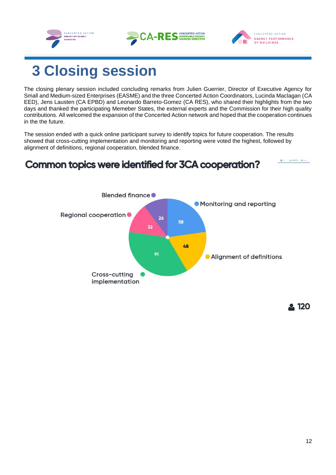





# <span id="page-12-0"></span>**3 Closing session**

The closing plenary session included concluding remarks from Julien Guerrier, Director of Executive Agency for Small and Medium-sized Enterprises (EASME) and the three Concerted Action Coordinators, Lucinda Maclagan (CA EED), Jens Lausten (CA EPBD) and Leonardo Barreto-Gomez (CA RES), who shared their highlights from the two days and thanked the participating Memeber States, the external experts and the Commission for their high quality contributions. All welcomed the expansion of the Concerted Action network and hoped that the cooperation continues in the the future.

The session ended with a quick online participant survey to identify topics for future cooperation. The results showed that cross-cutting implementation and monitoring and reporting were voted the highest, followed by alignment of definitions, regional cooperation, blended finance.

# Common topics were identified for 3CA cooperation?



**2120** 

 $\frac{1}{2}$  - passes  $A$  -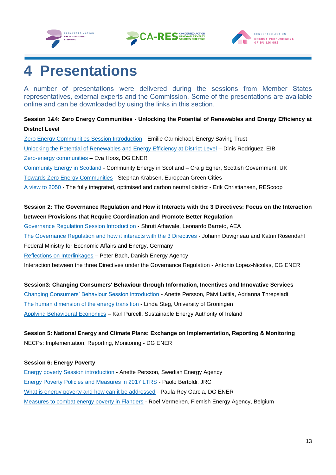





# <span id="page-13-0"></span>**4 Presentations**

A number of presentations were delivered during the sessions from Member States representatives, external experts and the Commission. Some of the presentations are available online and can be downloaded by using the links in this section.

**Session 1&4: Zero Energy Communities - Unlocking the Potential of Renewables and Energy Efficiency at District Level**

[Zero Energy Communities Session Introduction](https://www.ca-eed.eu/content/download/8736/file/Session%201%264%20Introduction_EST.pdf/attachment) - Emilie Carmichael, Energy Saving Trust [Unlocking the Potential of Renewables and Energy Efficiency at District Level](https://www.ca-eed.eu/content/download/8740/file/EIB_European%20Financing_D%20Rodrigues.pdf/attachment) – Dinis Rodriguez, EIB [Zero-energy communities](https://www.ca-eed.eu/content/download/8738/file/DG%20ENER_ZEC_E%20Hoos.pdf/attachment) – Eva Hoos, DG ENER [Community Energy in Scotland](https://www.ca-eed.eu/content/download/8741/file/Community%20energy%20Scotland_C%20Egner.pdf/attachment) - Community Energy in Scotland – Craig Egner, Scottish Government, UK [Towards Zero Energy Communities](https://www.ca-eed.eu/content/download/8742/file/European%20Green%20Cities_S%20Krabsen.pdf/attachment) - Stephan Krabsen, European Green Cities [A view to 2050](https://www.ca-eed.eu/content/download/8764/file/A%20view%20to%202050%20-%20REScoop.pdf/attachment) - The fully integrated, optimised and carbon neutral district - Erik Christiansen, REScoop

## **Session 2: The Governance Regulation and How it Interacts with the 3 Directives: Focus on the Interaction between Provisions that Require Coordination and Promote Better Regulation**

[Governance Regulation Session Introduction](https://www.ca-eed.eu/content/download/8705/file/Joint%20Workshop_Session%202__BARRETO_ATHAVALE.pdf/attachment) - Shruti Athavale, Leonardo Barreto, AEA The Governance Regulation and [how it interacts with the 3 Directives](https://www.ca-eed.eu/content/download/8703/file/200127_Joint%20WS%20Barcelona_Session%202_GER.pdf/attachment) - Johann Duvigneau and Katrin Rosendahl Federal Ministry for Economic Affairs and Energy, Germany [Reflections on Interlinkages](https://www.ca-eed.eu/content/download/8704/file/P_Bach%20CA%20workshop%20Barcelona%20final.pdf/attachment) – Peter Bach, Danish Energy Agency Interaction between the three Directives under the Governance Regulation - Antonio Lopez-Nicolas, DG ENER

**Session3: Changing Consumers' Behaviour through Information, Incentives and Innovative Services**  [Changing Consumers' Behaviour Session introduction](https://www.ca-eed.eu/content/download/8706/file/Session%203%20Consumers%20Intro.pdf/attachment) - Anette Persson, Päivi Laitila, Adrianna Threpsiadi [The human dimension of the](https://www.ca-eed.eu/content/download/8707/file/Linda%20Steg%20Presentation%20CA-Res%20Barcelona%202020.pdf/attachment) energy transition - Linda Steg, University of Groningen [Applying Behavioural Economics](https://www.ca-eed.eu/content/download/8708/file/Changing%20Consumers%27%20Behaviour%20%20-%20Barcelona%20JW%20-%20Ireland.pdf/attachment) – Karl Purcell, Sustainable Energy Authority of Ireland

**Session 5: National Energy and Climate Plans: Exchange on Implementation, Reporting & Monitoring** NECPs: Implementation, Reporting, Monitoring - DG ENER

#### **Session 6: Energy Poverty**

[Energy poverty Session introduction](https://www.ca-eed.eu/content/download/8709/file/Session%206%20Energy%20Poverty%20intro.pdf/attachment) - Anette Persson, Swedish Energy Agency [Energy Poverty Policies and Measures in 2017 LTRS](https://www.ca-eed.eu/content/download/8711/file/JRC%20presentation%20%20Energy%20Poverty%20Barcelona%20Jan%202020.pdf/attachment) - Paolo Bertoldi, JRC [What is energy poverty and how can it be addressed](https://www.ca-eed.eu/content/download/8710/file/DG%20ENER%20Energy%20Poverty%20-%20CA%20EPBD%20EED%20RES%20Barcelona%2030-31%20Jan%202020.pdf/attachment) - Paula Rey Garcia, DG ENER [Measures to combat energy poverty in Flanders](https://www.ca-eed.eu/content/download/8724/file/Session%206%20Energy%20Poverty%20-%20Best%20practice%20Flanders%20%28BE%29.pdf/attachment) - Roel Vermeiren, Flemish Energy Agency, Belgium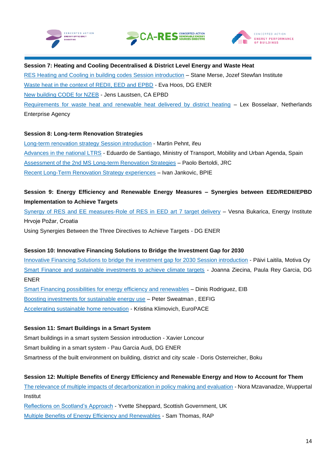





#### **Session 7: Heating and Cooling Decentralised & District Level Energy and Waste Heat**

[RES Heating and Cooling in building codes Session introduction](https://www.ca-eed.eu/content/download/8712/file/1_3CA-WS_Session7_Introduction.pdf/attachment) – Stane Merse, Jozef Stewfan Institute [Waste heat in the context of REDII, EED and EPBD](https://www.ca-eed.eu/content/download/8713/file/2_3CA-WS_Sessio7_Waste_heat.pdf/attachment) - Eva Hoos, DG ENER [New building CODE for NZEB](https://www.ca-eed.eu/content/download/8714/file/3_3CA-WS_Session7_NZEB%20Building%20Codes.pdf/attachment) - Jens Laustsen, CA EPBD [Requirements for waste heat and renewable heat delivered by district heating](https://www.ca-eed.eu/content/download/8715/file/4_3CA-WS_Session%207_Netherlands%20HC.pdf/attachment) – Lex Bosselaar, Netherlands Enterprise Agency

#### **Session 8: Long-term Renovation Strategies**

[Long-term renovation strategy Session introduction](https://www.ca-eed.eu/content/download/8716/file/1%20Barcelona%20Session%20Introduction.pdf/attachment) - Martin Pehnt, ifeu [Advances in the national LTRS](https://www.ca-eed.eu/content/download/8719/file/2020%2001%2031%20LTRS%20SPAIN%20PDF.PDF/attachment) - Eduardo de Santiago, Ministry of Transport, Mobility and Urban Agenda, Spain [Assessment of the 2nd MS Long-term Renovation Strategies](https://www.ca-eed.eu/content/download/8717/file/2%20JRC%20presentation%20%20LTRS2017%20Barcelona%20Jan%202020.pdf/attachment) – Paolo Bertoldi, JRC [Recent Long-Term Renovation Strategy experiences](https://www.ca-eed.eu/content/download/8718/file/4%20CA%20Joint%20workshop%2031Jan20%20Barcelona%20-%20LTRS%20session%20-%20BPIE%20slides.pdf/attachment) – Ivan Jankovic, BPIE

### **Session 9: Energy Efficiency and Renewable Energy Measures – Synergies between EED/REDII/EPBD Implementation to Achieve Targets**

[Synergy of RES and EE measures-Role of RES in EED art 7 target delivery](https://www.ca-eed.eu/content/download/8750/file/Croatia_EE-RES-synergy_V%20Bukarica.PDF/attachment) - Vesna Bukarica, Energy Institute Hrvoje Požar, Croatia

Using Synergies Between the Three Directives to Achieve Targets - DG ENER

#### **Session 10: Innovative Financing Solutions to Bridge the Investment Gap for 2030**

[Innovative Financing Solutions to bridge the investment gap for 2030 Session introduction](https://www.ca-eed.eu/content/download/8720/file/Session%2010%20Finance_Joint%20CA%20introduction.pdf/attachment) - Päivi Laitila, Motiva Oy [Smart Finance and sustainable investments to achieve climate targets](https://www.ca-eed.eu/content/download/8721/file/DG%20ENER_session%2010%20innovative%20financing%20solutions%20-%20updated.pdf/attachment) - Joanna Ziecina, Paula Rey Garcia, DG ENER

[Smart Financing possibilities for energy efficiency and renewables](https://www.ca-eed.eu/content/download/8722/file/EIB_Rodrigues_Barcelona%20Presentation.pdf/attachment) – Dinis Rodriguez, EIB [Boosting investments for sustainable energy use](https://www.ca-eed.eu/content/download/8729/file/EEFIG%20January%202020%20-%20Overview%20presentation.pdf/attachment) – Peter Sweatman , EEFIG [Accelerating sustainable home renovation](https://www.ca-eed.eu/content/download/8723/file/EuroPACE_GNE%20Finance_Concerted%20Action%20BCN%20Jan%2031.pdf/attachment) - Kristina Klimovich, EuroPACE

#### **Session 11: Smart Buildings in a Smart System**

Smart buildings in a smart system Session introduction - Xavier Loncour Smart building in a smart system - Pau Garcia Audi, DG ENER Smartness of the built environment on building, district and city scale - Doris Osterreicher, Boku

#### **Session 12: Multiple Benefits of Energy Efficiency and Renewable Energy and How to Account for Them**

[The relevance of multiple impacts of decarbonization in policy making and evaluation](https://www.ca-eed.eu/content/download/8755/file/COMBI_Multiple%20impacts_N%20Mzavanadze.pdf/attachment) - Nora Mzavanadze, Wuppertal Institut

[Reflections on Scotland's Approach](https://www.ca-eed.eu/content/download/8757/file/UK_Scotland%27s%20EE%20approach_Y%20Sheppard.pdf/attachment) - Yvette Sheppard, Scottish Government, UK [Multiple Benefits of Energy Efficiency and Renewables](https://www.ca-eed.eu/content/download/8756/file/RAP_Multiple%20benefits_S%20Thomas.pdf/attachment) - Sam Thomas, RAP